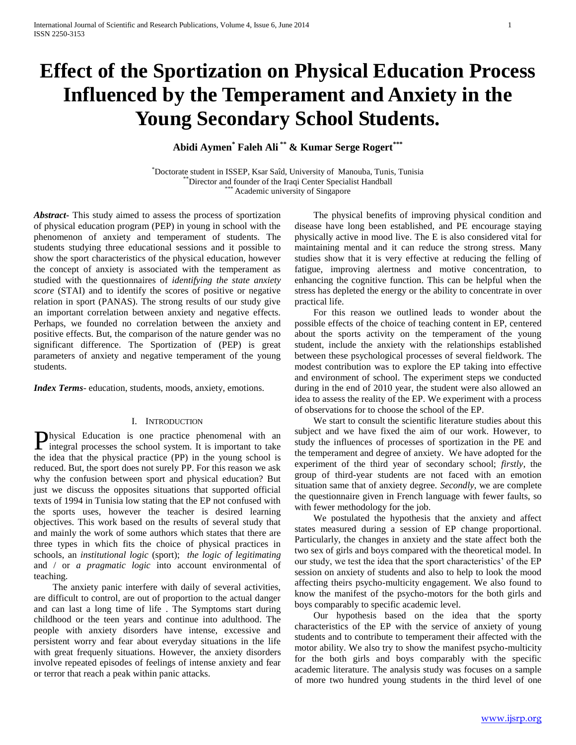# **Effect of the Sportization on Physical Education Process Influenced by the Temperament and Anxiety in the Young Secondary School Students.**

**Abidi Aymen\* Faleh Ali \*\* & Kumar Serge Rogert\*\*\***

\*Doctorate student in ISSEP, Ksar Saîd, University of Manouba, Tunis, Tunisia \*\*Director and founder of the Iraqi Center Specialist Handball \*\*\* Academic university of Singapore

*Abstract***-** This study aimed to assess the process of sportization of physical education program (PEP) in young in school with the phenomenon of anxiety and temperament of students. The students studying three educational sessions and it possible to show the sport characteristics of the physical education, however the concept of anxiety is associated with the temperament as studied with the questionnaires of *identifying the state anxiety score* (STAI) and to identify the scores of positive or negative relation in sport (PANAS). The strong results of our study give an important correlation between anxiety and negative effects. Perhaps, we founded no correlation between the anxiety and positive effects. But, the comparison of the nature gender was no significant difference. The Sportization of (PEP) is great parameters of anxiety and negative temperament of the young students.

*Index Terms*- education, students, moods, anxiety, emotions.

## I. INTRODUCTION

hysical Education is one practice phenomenal with an **P**hysical Education is one practice phenomenal with an integral processes the school system. It is important to take the idea that the physical practice (PP) in the young school is reduced. But, the sport does not surely PP. For this reason we ask why the confusion between sport and physical education? But just we discuss the opposites situations that supported official texts of 1994 in Tunisia low stating that the EP not confused with the sports uses, however the teacher is desired learning objectives. This work based on the results of several study that and mainly the work of some authors which states that there are three types in which fits the choice of physical practices in schools, an *institutional logic* (sport); *the logic of legitimating* and / or *a pragmatic logic* into account environmental of teaching.

 The anxiety panic interfere with daily of several activities, are difficult to control, are out of proportion to the actual danger and can last a long time of life . The Symptoms start during childhood or the teen years and continue into adulthood. The people with anxiety disorders have intense, excessive and persistent worry and fear about everyday situations in the life with great frequenly situations. However, the anxiety disorders involve repeated episodes of feelings of intense anxiety and fear or terror that reach a peak within panic attacks.

 The physical benefits of improving physical condition and disease have long been established, and PE encourage staying physically active in mood live. The E is also considered vital for maintaining mental and it can reduce the strong stress. Many studies show that it is very effective at reducing the felling of fatigue, improving alertness and motive concentration, to enhancing the cognitive function. This can be helpful when the stress has depleted the energy or the ability to concentrate in over practical life.

 For this reason we outlined leads to wonder about the possible effects of the choice of teaching content in EP, centered about the sports activity on the temperament of the young student, include the anxiety with the relationships established between these psychological processes of several fieldwork. The modest contribution was to explore the EP taking into effective and environment of school. The experiment steps we conducted during in the end of 2010 year, the student were also allowed an idea to assess the reality of the EP. We experiment with a process of observations for to choose the school of the EP.

 We start to consult the scientific literature studies about this subject and we have fixed the aim of our work. However, to study the influences of processes of sportization in the PE and the temperament and degree of anxiety. We have adopted for the experiment of the third year of secondary school; *firstly*, the group of third-year students are not faced with an emotion situation same that of anxiety degree. *Secondly*, we are complete the questionnaire given in French language with fewer faults, so with fewer methodology for the job.

 We postulated the hypothesis that the anxiety and affect states measured during a session of EP change proportional. Particularly, the changes in anxiety and the state affect both the two sex of girls and boys compared with the theoretical model. In our study, we test the idea that the sport characteristics' of the EP session on anxiety of students and also to help to look the mood affecting theirs psycho-multicity engagement. We also found to know the manifest of the psycho-motors for the both girls and boys comparably to specific academic level.

 Our hypothesis based on the idea that the sporty characteristics of the EP with the service of anxiety of young students and to contribute to temperament their affected with the motor ability. We also try to show the manifest psycho-multicity for the both girls and boys comparably with the specific academic literature. The analysis study was focuses on a sample of more two hundred young students in the third level of one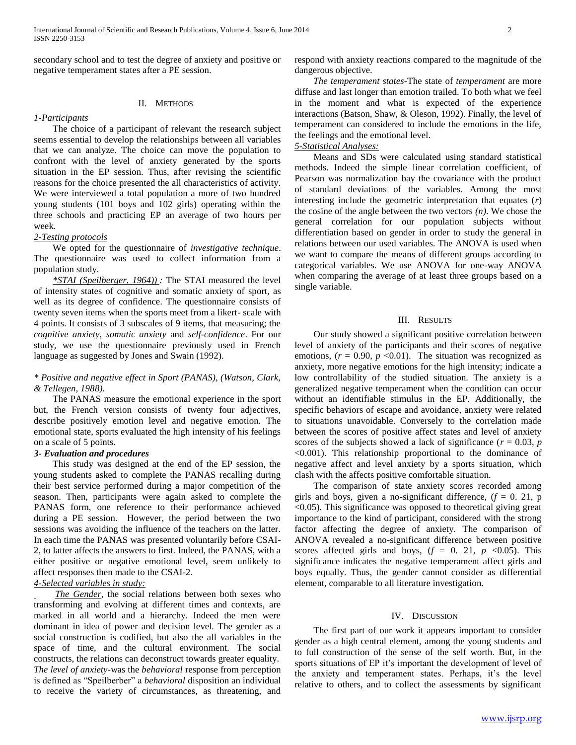secondary school and to test the degree of anxiety and positive or negative temperament states after a PE session.

## II. METHODS

## *1-Participants*

 The choice of a participant of relevant the research subject seems essential to develop the relationships between all variables that we can analyze. The choice can move the population to confront with the level of anxiety generated by the sports situation in the EP session. Thus, after revising the scientific reasons for the choice presented the all characteristics of activity. We were interviewed a total population a more of two hundred young students (101 boys and 102 girls) operating within the three schools and practicing EP an average of two hours per week.

## *2-Testing protocols*

 We opted for the questionnaire of *investigative technique*. The questionnaire was used to collect information from a population study.

 *\*STAI (Speilberger, 1964)) :* The STAI measured the level of intensity states of cognitive and somatic anxiety of sport, as well as its degree of confidence. The questionnaire consists of twenty seven items when the sports meet from a likert- scale with 4 points. It consists of 3 subscales of 9 items, that measuring; the *cognitive anxiety*, *somatic anxiety* and *self-confidence*. For our study, we use the questionnaire previously used in French language as suggested by Jones and Swain (1992).

## *\* Positive and negative effect in Sport (PANAS), (Watson, Clark, & Tellegen, 1988).*

 The PANAS measure the emotional experience in the sport but, the French version consists of twenty four adjectives, describe positively emotion level and negative emotion. The emotional state, sports evaluated the high intensity of his feelings on a scale of 5 points.

## *3- Evaluation and procedures*

 This study was designed at the end of the EP session, the young students asked to complete the PANAS recalling during their best service performed during a major competition of the season. Then, participants were again asked to complete the PANAS form, one reference to their performance achieved during a PE session. However, the period between the two sessions was avoiding the influence of the teachers on the latter. In each time the PANAS was presented voluntarily before CSAI-2, to latter affects the answers to first. Indeed, the PANAS, with a either positive or negative emotional level, seem unlikely to affect responses then made to the CSAI-2.

# *4-Selected variables in study:*

 *The Gender*, the social relations between both sexes who transforming and evolving at different times and contexts, are marked in all world and a hierarchy. Indeed the men were dominant in idea of power and decision level. The gender as a social construction is codified, but also the all variables in the space of time, and the cultural environment. The social constructs, the relations can deconstruct towards greater equality. *The level of anxiety-*was the *behavioral* response from perception is defined as "Speilberber" a *behavioral* disposition an individual to receive the variety of circumstances, as threatening, and

respond with anxiety reactions compared to the magnitude of the dangerous objective.

 *The temperament states-*The state of *temperament* are more diffuse and last longer than emotion trailed. To both what we feel in the moment and what is expected of the experience interactions (Batson, Shaw, & Oleson, 1992). Finally, the level of temperament can considered to include the emotions in the life, the feelings and the emotional level.

## *5-Statistical Analyses:*

 Means and SDs were calculated using standard statistical methods. Indeed the simple linear correlation coefficient, of Pearson was normalization bay the covariance with the product of standard deviations of the variables. Among the most interesting include the geometric interpretation that equates (*r*) the cosine of the angle between the two vectors *(n)*. We chose the general correlation for our population subjects without differentiation based on gender in order to study the general in relations between our used variables. The ANOVA is used when we want to compare the means of different groups according to categorical variables. We use ANOVA for one-way ANOVA when comparing the average of at least three groups based on a single variable.

#### III. RESULTS

 Our study showed a significant positive correlation between level of anxiety of the participants and their scores of negative emotions,  $(r = 0.90, p < 0.01)$ . The situation was recognized as anxiety, more negative emotions for the high intensity; indicate a low controllability of the studied situation. The anxiety is a generalized negative temperament when the condition can occur without an identifiable stimulus in the EP. Additionally, the specific behaviors of escape and avoidance, anxiety were related to situations unavoidable. Conversely to the correlation made between the scores of positive affect states and level of anxiety scores of the subjects showed a lack of significance ( $r = 0.03$ ,  $p$ ) <0.001). This relationship proportional to the dominance of negative affect and level anxiety by a sports situation, which clash with the affects positive comfortable situation.

 The comparison of state anxiety scores recorded among girls and boys, given a no-significant difference,  $(f = 0, 21, p)$ <0.05). This significance was opposed to theoretical giving great importance to the kind of participant, considered with the strong factor affecting the degree of anxiety. The comparison of ANOVA revealed a no-significant difference between positive scores affected girls and boys,  $(f = 0, 21, p \le 0.05)$ . This significance indicates the negative temperament affect girls and boys equally. Thus, the gender cannot consider as differential element, comparable to all literature investigation.

## IV. DISCUSSION

 The first part of our work it appears important to consider gender as a high central element, among the young students and to full construction of the sense of the self worth. But, in the sports situations of EP it's important the development of level of the anxiety and temperament states. Perhaps, it's the level relative to others, and to collect the assessments by significant